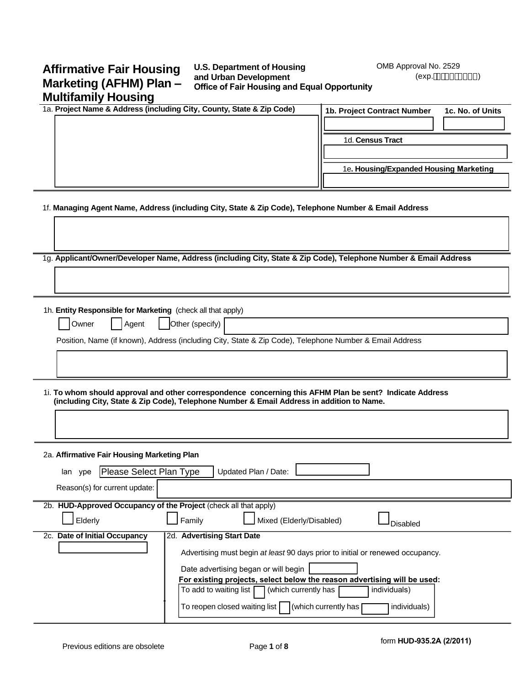# **Affirmative Fair Housing Marketing (AFHM) Plan – Multifamily Housing**

## **U.S. Department of Housing and Urban Development Office of Fair Housing and Equal Opportunity**

OMB Approval No. 2529 (exp., # %#&\$%)

| 1a. Project Name & Address (including City, County, State & Zip Code)                                                                                                                                 | 1b. Project Contract Number                                              | 1c. No. of Units |
|-------------------------------------------------------------------------------------------------------------------------------------------------------------------------------------------------------|--------------------------------------------------------------------------|------------------|
|                                                                                                                                                                                                       |                                                                          |                  |
|                                                                                                                                                                                                       | 1d. Census Tract                                                         |                  |
|                                                                                                                                                                                                       |                                                                          |                  |
|                                                                                                                                                                                                       | 1e. Housing/Expanded Housing Marketing                                   |                  |
|                                                                                                                                                                                                       |                                                                          |                  |
| 1f. Managing Agent Name, Address (including City, State & Zip Code), Telephone Number & Email Address                                                                                                 |                                                                          |                  |
|                                                                                                                                                                                                       |                                                                          |                  |
| 1g. Applicant/Owner/Developer Name, Address (including City, State & Zip Code), Telephone Number & Email Address                                                                                      |                                                                          |                  |
|                                                                                                                                                                                                       |                                                                          |                  |
| 1h. Entity Responsible for Marketing (check all that apply)                                                                                                                                           |                                                                          |                  |
| Other (specify)<br>Owner<br>Agent                                                                                                                                                                     |                                                                          |                  |
| Position, Name (if known), Address (including City, State & Zip Code), Telephone Number & Email Address                                                                                               |                                                                          |                  |
|                                                                                                                                                                                                       |                                                                          |                  |
|                                                                                                                                                                                                       |                                                                          |                  |
|                                                                                                                                                                                                       |                                                                          |                  |
| 1i. To whom should approval and other correspondence concerning this AFHM Plan be sent? Indicate Address<br>(including City, State & Zip Code), Telephone Number & Email Address in addition to Name. |                                                                          |                  |
|                                                                                                                                                                                                       |                                                                          |                  |
|                                                                                                                                                                                                       |                                                                          |                  |
|                                                                                                                                                                                                       |                                                                          |                  |
| 2a. Affirmative Fair Housing Marketing Plan                                                                                                                                                           |                                                                          |                  |
| Please Select Plan Type<br>Updated Plan / Date:<br>lan ype                                                                                                                                            |                                                                          |                  |
| Reason(s) for current update:                                                                                                                                                                         |                                                                          |                  |
| 2b. HUD-Approved Occupancy of the Project (check all that apply)                                                                                                                                      |                                                                          |                  |
| Elderly<br>Family<br>Mixed (Elderly/Disabled)                                                                                                                                                         | Disabled                                                                 |                  |
| 2c. Date of Initial Occupancy<br>2d. Advertising Start Date                                                                                                                                           |                                                                          |                  |
| Advertising must begin at least 90 days prior to initial or renewed occupancy.                                                                                                                        |                                                                          |                  |
| Date advertising began or will begin                                                                                                                                                                  |                                                                          |                  |
|                                                                                                                                                                                                       | For existing projects, select below the reason advertising will be used: |                  |
|                                                                                                                                                                                                       |                                                                          |                  |
| To add to waiting list  <br>(which currently has                                                                                                                                                      | individuals)                                                             |                  |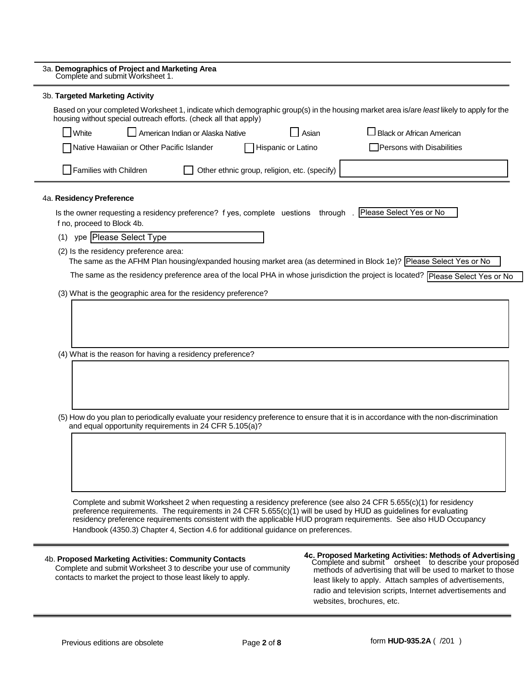| 3a. Demographics of Project and Marketing Area<br>Complete and submit Worksheet 1.                                                                                                                                                                                                                                                                                                                                                             |
|------------------------------------------------------------------------------------------------------------------------------------------------------------------------------------------------------------------------------------------------------------------------------------------------------------------------------------------------------------------------------------------------------------------------------------------------|
| 3b. Targeted Marketing Activity                                                                                                                                                                                                                                                                                                                                                                                                                |
| Based on your completed Worksheet 1, indicate which demographic group(s) in the housing market area is/are least likely to apply for the<br>housing without special outreach efforts. (check all that apply)                                                                                                                                                                                                                                   |
| White<br>American Indian or Alaska Native<br>$\Box$ Black or African American<br>Asian                                                                                                                                                                                                                                                                                                                                                         |
| Native Hawaiian or Other Pacific Islander<br>Hispanic or Latino<br>Persons with Disabilities                                                                                                                                                                                                                                                                                                                                                   |
| Families with Children<br>Other ethnic group, religion, etc. (specify)                                                                                                                                                                                                                                                                                                                                                                         |
| 4a. Residency Preference                                                                                                                                                                                                                                                                                                                                                                                                                       |
| Please Select Yes or No<br>Is the owner requesting a residency preference? f yes, complete uestions through.<br>f no, proceed to Block 4b.                                                                                                                                                                                                                                                                                                     |
| (1) ype   Please Select Type                                                                                                                                                                                                                                                                                                                                                                                                                   |
| (2) Is the residency preference area:<br>The same as the AFHM Plan housing/expanded housing market area (as determined in Block 1e)? Please Select Yes or No                                                                                                                                                                                                                                                                                   |
| The same as the residency preference area of the local PHA in whose jurisdiction the project is located? Please Select Yes or No                                                                                                                                                                                                                                                                                                               |
| (3) What is the geographic area for the residency preference?                                                                                                                                                                                                                                                                                                                                                                                  |
|                                                                                                                                                                                                                                                                                                                                                                                                                                                |
| (4) What is the reason for having a residency preference?                                                                                                                                                                                                                                                                                                                                                                                      |
|                                                                                                                                                                                                                                                                                                                                                                                                                                                |
| (5) How do you plan to periodically evaluate your residency preference to ensure that it is in accordance with the non-discrimination<br>and equal opportunity requirements in 24 CFR 5.105(a)?                                                                                                                                                                                                                                                |
|                                                                                                                                                                                                                                                                                                                                                                                                                                                |
|                                                                                                                                                                                                                                                                                                                                                                                                                                                |
|                                                                                                                                                                                                                                                                                                                                                                                                                                                |
| Complete and submit Worksheet 2 when requesting a residency preference (see also 24 CFR 5.655(c)(1) for residency<br>preference requirements. The requirements in 24 CFR 5.655(c)(1) will be used by HUD as guidelines for evaluating<br>residency preference requirements consistent with the applicable HUD program requirements. See also HUD Occupancy<br>Handbook (4350.3) Chapter 4, Section 4.6 for additional guidance on preferences. |
| 4c. Proposed Marketing Activities: Methods of Advertising<br>Complete and submit corsheet to describe your propose<br>methods of advertising that will be used to market to those<br>4b. Proposed Marketing Activities: Community Contacts<br>Complete and submit Worksheet 3 to describe your use of community                                                                                                                                |

 Complete and submit Worksheet 3 to describe your use of community contacts to market the project to those least likely to apply.

**4c. Proposed Marketing Activities: Methods of Advertising** Complete and submit orsheet to describe your proposed methods of advertising that will be used to market to those least likely to apply. Attach samples of advertisements, radio and television scripts, Internet advertisements and websites, brochures, etc.

 $\blacksquare$ 

Ξ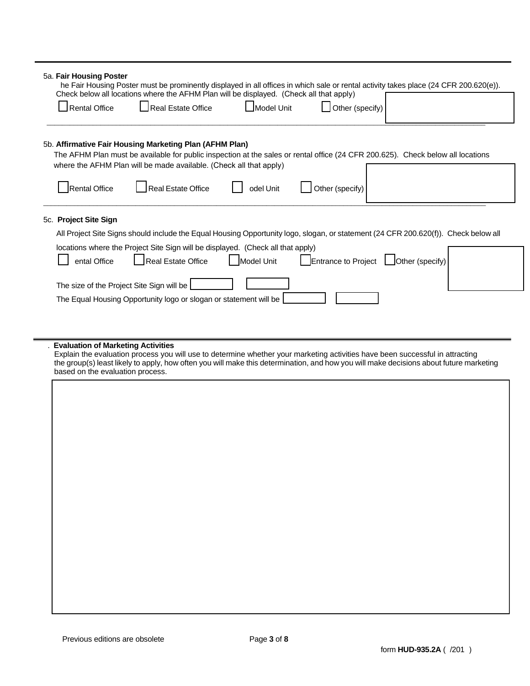| <b>Rental Office</b>                                                               | Real Estate Office                                                                                                                                                                                                                                                                                                | Model Unit | Other (specify) |                                       |  |
|------------------------------------------------------------------------------------|-------------------------------------------------------------------------------------------------------------------------------------------------------------------------------------------------------------------------------------------------------------------------------------------------------------------|------------|-----------------|---------------------------------------|--|
|                                                                                    | 5b. Affirmative Fair Housing Marketing Plan (AFHM Plan)<br>The AFHM Plan must be available for public inspection at the sales or rental office (24 CFR 200.625). Check below all locations<br>where the AFHM Plan will be made available. (Check all that apply)                                                  |            |                 |                                       |  |
| Rental Office                                                                      | <b>Real Estate Office</b>                                                                                                                                                                                                                                                                                         | odel Unit  | Other (specify) |                                       |  |
| 5c. Project Site Sign<br>ental Office<br>The size of the Project Site Sign will be | All Project Site Signs should include the Equal Housing Opportunity logo, slogan, or statement (24 CFR 200.620(f)). Check below all<br>locations where the Project Site Sign will be displayed. (Check all that apply)<br>Real Estate Office<br>The Equal Housing Opportunity logo or slogan or statement will be | Model Unit |                 | Entrance to Project   Other (specify) |  |
| <b>Evaluation of Marketing Activities</b><br>based on the evaluation process.      | Explain the evaluation process you will use to determine whether your marketing activities have been successful in attracting<br>the group(s) least likely to apply, how often you will make this determination, and how you will make decisions about future marketing                                           |            |                 |                                       |  |
|                                                                                    |                                                                                                                                                                                                                                                                                                                   |            |                 |                                       |  |
|                                                                                    |                                                                                                                                                                                                                                                                                                                   |            |                 |                                       |  |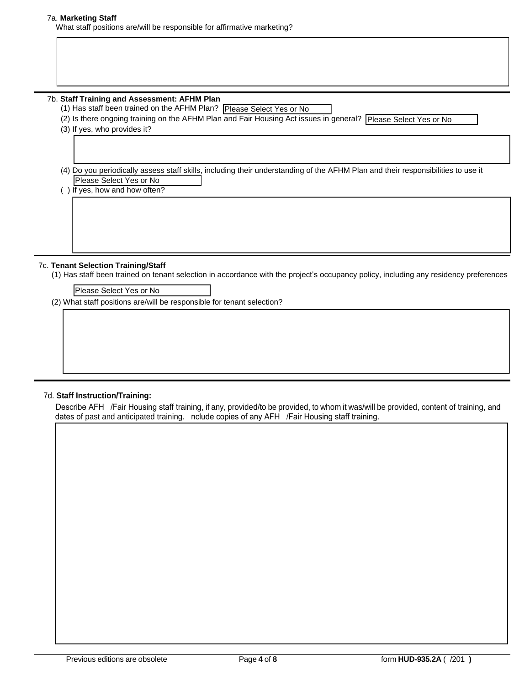## 7a. **Marketing Staff**

What staff positions are/will be responsible for affirmative marketing?

## 7b. **Staff Training and Assessment: AFHM Plan**

(1) Has staff been trained on the AFHM Plan? Please Select Yes or No

(2) Is there ongoing training on the AFHM Plan and Fair Housing Act issues in general?

(3) If yes, who provides it?

 (4) Do you periodically assess staff skills, including their understanding of the AFHM Plan and their responsibilities to use it? Has staff been trained on the AFHM Plan? [Please Select Yes or No<br>s there ongoing training on the AFHM Plan and Fair Housing Act issues in general? [Please Select Yes or No<br>f yes, who provides it?<br>Do you periodically asses

() If yes, how and how often?

## 7c. **Tenant Selection Training/Staff**

(1) Has staff been trained on tenant selection in accordance with the project's occupancy policy, including any residency preferences?

Please Select Yes or No

(2) What staff positions are/will be responsible for tenant selection?

## 7d. **Staff Instruction/Training:**

Describe AFH / Fair Housing staff training, if any, provided/to be provided, to whom it was/will be provided, content of training, and dates of past and anticipated training. nclude copies of any AFH /Fair Housing staff training.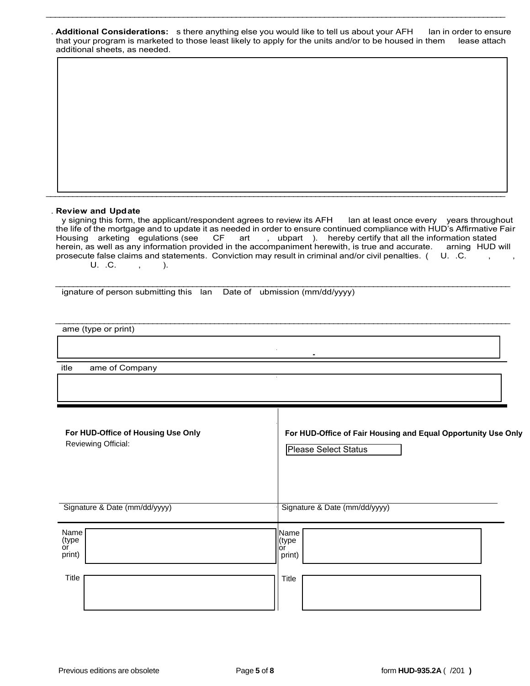|                               | . Additional Considerations: sthere anything else you would like to tell us about your AFH                          | lan in order to ensure |
|-------------------------------|---------------------------------------------------------------------------------------------------------------------|------------------------|
|                               | that your program is marketed to those least likely to apply for the units and/or to be housed in them lease attach |                        |
| additional sheets, as needed. |                                                                                                                     |                        |

\_\_\_\_\_\_\_\_\_\_\_\_\_\_\_\_\_\_\_\_\_\_\_\_\_\_\_\_\_\_\_\_\_\_\_\_\_\_\_\_\_\_\_\_\_\_\_\_\_\_\_\_\_\_\_\_\_\_\_\_\_\_\_\_\_\_\_\_\_\_\_\_\_\_\_\_\_\_\_\_\_\_\_\_\_\_\_\_\_\_\_\_\_\_\_\_\_\_\_\_\_\_\_\_

#### . **Review and Update**

y signing this form, the applicant/respondent agrees to review its AFH lan at least once every years throughout the life of the mortgage and to update it as needed in order to ensure continued compliance with HUD's Affirmative Fair Housing arketing egulations (see CF art , ubpart ). hereby certify that all the information stated herein, as well as any information provided in the accompaniment herewith, is true and accurate. arning HUD will prosecute false claims and statements. Conviction may result in criminal and/or civil penalties.  $(1.1 \cdot C.$  $U. C. , ,$ 

 $\mathcal{L}_\text{max} = \mathcal{L}_\text{max} = \mathcal{L}_\text{max} = \mathcal{L}_\text{max} = \mathcal{L}_\text{max} = \mathcal{L}_\text{max} = \mathcal{L}_\text{max} = \mathcal{L}_\text{max} = \mathcal{L}_\text{max} = \mathcal{L}_\text{max} = \mathcal{L}_\text{max} = \mathcal{L}_\text{max} = \mathcal{L}_\text{max} = \mathcal{L}_\text{max} = \mathcal{L}_\text{max} = \mathcal{L}_\text{max} = \mathcal{L}_\text{max} = \mathcal{L}_\text{max} = \mathcal{$ 

 $\mathbf{I}$ 

**-**

\_\_\_\_\_\_\_\_\_\_\_\_\_\_\_\_\_\_\_\_\_\_\_\_\_\_\_\_\_\_\_\_\_\_\_\_\_\_\_\_\_\_\_\_\_\_\_\_\_\_\_\_\_\_\_\_\_\_\_\_\_\_\_\_\_\_\_\_\_\_\_\_\_\_\_\_\_\_\_\_\_\_\_\_\_\_\_\_\_\_\_\_\_\_\_\_\_\_\_\_\_\_\_\_

 $\mathcal{L}_\text{max} = \mathcal{L}_\text{max} = \mathcal{L}_\text{max} = \mathcal{L}_\text{max} = \mathcal{L}_\text{max} = \mathcal{L}_\text{max} = \mathcal{L}_\text{max} = \mathcal{L}_\text{max} = \mathcal{L}_\text{max} = \mathcal{L}_\text{max} = \mathcal{L}_\text{max} = \mathcal{L}_\text{max} = \mathcal{L}_\text{max} = \mathcal{L}_\text{max} = \mathcal{L}_\text{max} = \mathcal{L}_\text{max} = \mathcal{L}_\text{max} = \mathcal{L}_\text{max} = \mathcal{$ ignature of person submitting this lan Date of ubmission (mm/dd/yyyy)

ame (type or print)

itle ame of Company

| For HUD-Office of Housing Use Only | For HUD-Office of Fair Housing and Equal Opportunity Use Only |
|------------------------------------|---------------------------------------------------------------|
| Reviewing Official:                | Please Select Status                                          |
| Signature & Date (mm/dd/yyyy)      | Signature & Date (mm/dd/yyyy)                                 |
| Name                               | Name                                                          |
| (type                              | (type)                                                        |
| or                                 | llor                                                          |
| print)                             | print)                                                        |
| Title                              | Title                                                         |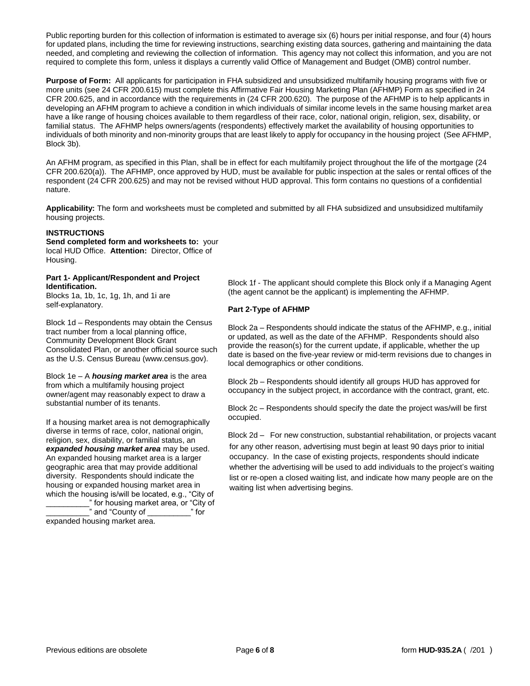Public reporting burden for this collection of information is estimated to average six (6) hours per initial response, and four (4) hours for updated plans, including the time for reviewing instructions, searching existing data sources, gathering and maintaining the data needed, and completing and reviewing the collection of information. This agency may not collect this information, and you are not required to complete this form, unless it displays a currently valid Office of Management and Budget (OMB) control number.

**Purpose of Form:** All applicants for participation in FHA subsidized and unsubsidized multifamily housing programs with five or more units (see 24 CFR 200.615) must complete this Affirmative Fair Housing Marketing Plan (AFHMP) Form as specified in 24 CFR 200.625, and in accordance with the requirements in (24 CFR 200.620). The purpose of the AFHMP is to help applicants in developing an AFHM program to achieve a condition in which individuals of similar income levels in the same housing market area have a like range of housing choices available to them regardless of their race, color, national origin, religion, sex, disability, or familial status. The AFHMP helps owners/agents (respondents) effectively market the availability of housing opportunities to individuals of both minority and non-minority groups that are least likely to apply for occupancy in the housing project (See AFHMP, Block 3b).

An AFHM program, as specified in this Plan, shall be in effect for each multifamily project throughout the life of the mortgage (24 CFR 200.620(a)). The AFHMP, once approved by HUD, must be available for public inspection at the sales or rental offices of the respondent (24 CFR 200.625) and may not be revised without HUD approval. This form contains no questions of a confidential nature.

**Applicability:** The form and worksheets must be completed and submitted by all FHA subsidized and unsubsidized multifamily housing projects.

## **INSTRUCTIONS**

**Send completed form and worksheets to:** your local HUD Office. **Attention:** Director, Office of Housing.

#### **Part 1- Applicant/Respondent and Project Identification.**

Blocks 1a, 1b, 1c, 1g, 1h, and 1i are self-explanatory.

Block 1d – Respondents may obtain the Census tract number from a local planning office, Community Development Block Grant Consolidated Plan, or another official source such as the U.S. Census Bureau (www.census.gov).

Block 1e – A *housing market area* is the area from which a multifamily housing project owner/agent may reasonably expect to draw a substantial number of its tenants.

If a housing market area is not demographically diverse in terms of race, color, national origin, religion, sex, disability, or familial status, an *expanded housing market area* may be used. An expanded housing market area is a larger geographic area that may provide additional diversity. Respondents should indicate the housing or expanded housing market area in which the housing is/will be located, e.g., "City of \_\_\_\_\_\_\_\_\_\_" for housing market area, or "City of \_\_\_\_\_\_\_\_\_\_" and "County of \_\_\_\_\_\_\_\_\_\_" for

expanded housing market area.

Block 1f - The applicant should complete this Block only if a Managing Agent (the agent cannot be the applicant) is implementing the AFHMP.

## **Part 2-Type of AFHMP**

Block 2a – Respondents should indicate the status of the AFHMP, e.g., initial or updated, as well as the date of the AFHMP. Respondents should also provide the reason(s) for the current update, if applicable, whether the up date is based on the five-year review or mid-term revisions due to changes in local demographics or other conditions.

Block 2b – Respondents should identify all groups HUD has approved for occupancy in the subject project, in accordance with the contract, grant, etc.

Block 2c – Respondents should specify the date the project was/will be first occupied.

Block 2d – For new construction, substantial rehabilitation, or projects vacant for any other reason, advertising must begin at least 90 days prior to initial occupancy. In the case of existing projects, respondents should indicate whether the advertising will be used to add individuals to the project's waiting list or re-open a closed waiting list, and indicate how many people are on the waiting list when advertising begins.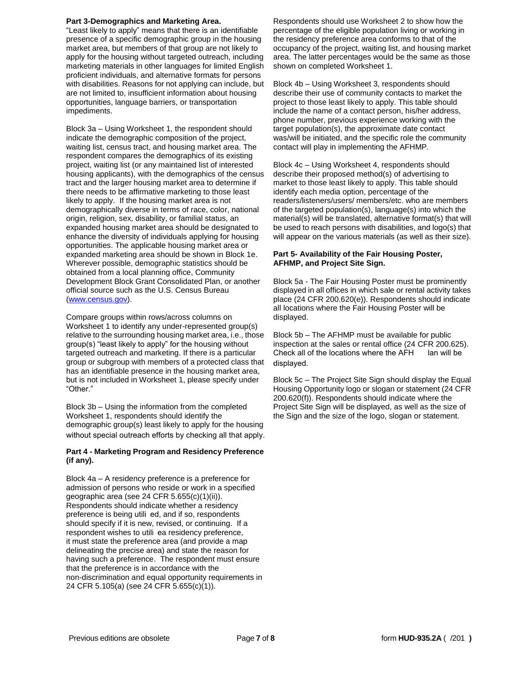#### **Part 3-Demographics and Marketing Area.**

"Least likely to apply" means that there is an identifiable presence of a specific demographic group in the housing market area, but members of that group are not likely to apply for the housing without targeted outreach, including marketing materials in other languages for limited English proficient individuals, and alternative formats for persons with disabilities. Reasons for not applying can include, but are not limited to, insufficient information about housing opportunities, language barriers, or transportation impediments.

Block 3a – Using Worksheet 1, the respondent should indicate the demographic composition of the project, waiting list, census tract, and housing market area. The respondent compares the demographics of its existing project, waiting list (or any maintained list of interested housing applicants), with the demographics of the census tract and the larger housing market area to determine if there needs to be affirmative marketing to those least likely to apply. If the housing market area is not demographically diverse in terms of race, color, national origin, religion, sex, disability, or familial status, an expanded housing market area should be designated to enhance the diversity of individuals applying for housing opportunities. The applicable housing market area or expanded marketing area should be shown in Block 1e. Wherever possible, demographic statistics should be obtained from a local planning office, Community Development Block Grant Consolidated Plan, or another official source such as the U.S. Census Bureau (www.census.gov).

Compare groups within rows/across columns on Worksheet 1 to identify any under-represented group(s) relative to the surrounding housing market area, i.e., those group(s) "least likely to apply" for the housing without targeted outreach and marketing. If there is a particular group or subgroup with members of a protected class that has an identifiable presence in the housing market area, but is not included in Worksheet 1, please specify under "Other."

Block 3b – Using the information from the completed Worksheet 1, respondents should identify the demographic group(s) least likely to apply for the housing without special outreach efforts by checking all that apply.

#### **Part 4 - Marketing Program and Residency Preference (if any).**

Block 4a – A residency preference is a preference for admission of persons who reside or work in a specified geographic area (see 24 CFR 5.655(c)(1)(ii)). Respondents should indicate whether a residency preference is being utilied, and if so, respondents should specify if it is new, revised, or continuing. If a respondent wishes to utili ea residency preference, it must state the preference area (and provide a map delineating the precise area) and state the reason for having such a preference. The respondent must ensure that the preference is in accordance with the non-discrimination and equal opportunity requirements in 24 CFR 5.105(a) (see 24 CFR 5.655(c)(1)).

Respondents should use Worksheet 2 to show how the percentage of the eligible population living or working in the residency preference area conforms to that of the occupancy of the project, waiting list, and housing market area. The latter percentages would be the same as those shown on completed Worksheet 1.

Block 4b – Using Worksheet 3, respondents should describe their use of community contacts to market the project to those least likely to apply. This table should include the name of a contact person, his/her address, phone number, previous experience working with the target population(s), the approximate date contact was/will be initiated, and the specific role the community contact will play in implementing the AFHMP.

Block 4c – Using Worksheet 4, respondents should describe their proposed method(s) of advertising to market to those least likely to apply. This table should identify each media option, percentage of the readers/listeners/users/ members/etc. who are members of the targeted population(s), language(s) into which the material(s) will be translated, alternative format(s) that will be used to reach persons with disabilities, and logo(s) that will appear on the various materials (as well as their size).

#### **Part 5- Availability of the Fair Housing Poster, AFHMP, and Project Site Sign.**

Block 5a - The Fair Housing Poster must be prominently displayed in all offices in which sale or rental activity takes place (24 CFR 200.620(e)). Respondents should indicate all locations where the Fair Housing Poster will be displayed.

Block 5b – The AFHMP must be available for public inspection at the sales or rental office (24 CFR 200.625). Check all of the locations where the  $AFH$  lan will be displayed.

Block 5c – The Project Site Sign should display the Equal Housing Opportunity logo or slogan or statement (24 CFR 200.620(f)). Respondents should indicate where the Project Site Sign will be displayed, as well as the size of the Sign and the size of the logo, slogan or statement.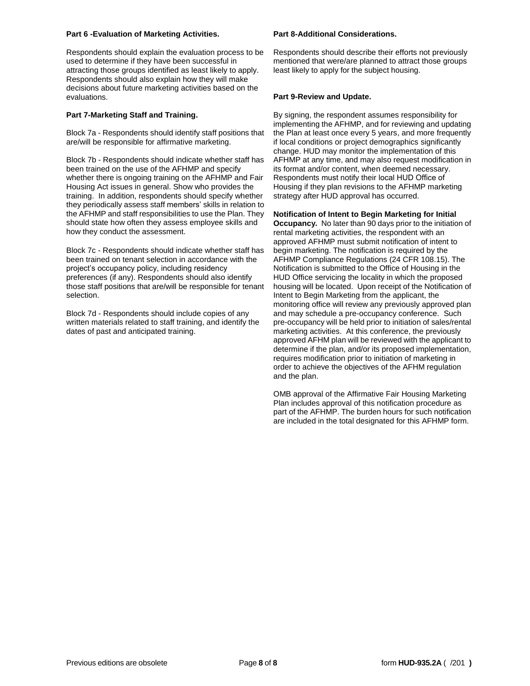#### **Part 6 -Evaluation of Marketing Activities.**

Respondents should explain the evaluation process to be used to determine if they have been successful in attracting those groups identified as least likely to apply. Respondents should also explain how they will make decisions about future marketing activities based on the evaluations.

#### **Part 7-Marketing Staff and Training.**

Block 7a - Respondents should identify staff positions that are/will be responsible for affirmative marketing.

Block 7b - Respondents should indicate whether staff has been trained on the use of the AFHMP and specify whether there is ongoing training on the AFHMP and Fair Housing Act issues in general. Show who provides the training. In addition, respondents should specify whether they periodically assess staff members' skills in relation to the AFHMP and staff responsibilities to use the Plan. They should state how often they assess employee skills and how they conduct the assessment.

Block 7c - Respondents should indicate whether staff has been trained on tenant selection in accordance with the project's occupancy policy, including residency preferences (if any). Respondents should also identify those staff positions that are/will be responsible for tenant selection.

Block 7d - Respondents should include copies of any written materials related to staff training, and identify the dates of past and anticipated training.

#### **Part 8-Additional Considerations.**

Respondents should describe their efforts not previously mentioned that were/are planned to attract those groups least likely to apply for the subject housing.

#### **Part 9-Review and Update.**

By signing, the respondent assumes responsibility for implementing the AFHMP, and for reviewing and updating the Plan at least once every 5 years, and more frequently if local conditions or project demographics significantly change. HUD may monitor the implementation of this AFHMP at any time, and may also request modification in its format and/or content, when deemed necessary. Respondents must notify their local HUD Office of Housing if they plan revisions to the AFHMP marketing strategy after HUD approval has occurred.

**Notification of Intent to Begin Marketing for Initial Occupancy.** No later than 90 days prior to the initiation of rental marketing activities, the respondent with an approved AFHMP must submit notification of intent to begin marketing. The notification is required by the AFHMP Compliance Regulations (24 CFR 108.15). The Notification is submitted to the Office of Housing in the HUD Office servicing the locality in which the proposed housing will be located. Upon receipt of the Notification of Intent to Begin Marketing from the applicant, the monitoring office will review any previously approved plan and may schedule a pre-occupancy conference. Such pre-occupancy will be held prior to initiation of sales/rental marketing activities. At this conference, the previously approved AFHM plan will be reviewed with the applicant to determine if the plan, and/or its proposed implementation, requires modification prior to initiation of marketing in order to achieve the objectives of the AFHM regulation and the plan.

OMB approval of the Affirmative Fair Housing Marketing Plan includes approval of this notification procedure as part of the AFHMP. The burden hours for such notification are included in the total designated for this AFHMP form.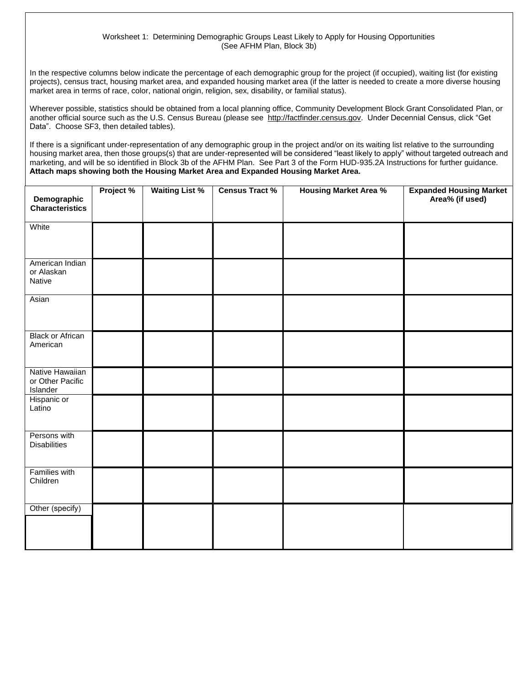## Worksheet 1: Determining Demographic Groups Least Likely to Apply for Housing Opportunities (See AFHM Plan, Block 3b)

In the respective columns below indicate the percentage of each demographic group for the project (if occupied), waiting list (for existing projects), census tract, housing market area, and expanded housing market area (if the latter is needed to create a more diverse housing market area in terms of race, color, national origin, religion, sex, disability, or familial status).

Wherever possible, statistics should be obtained from a local planning office, Community Development Block Grant Consolidated Plan, or another official source such as the U.S. Census Bureau (please see http://factfinder.census.gov. Under Decennial Census, click "Get Data". Choose SF3, then detailed tables).

If there is a significant under-representation of any demographic group in the project and/or on its waiting list relative to the surrounding housing market area, then those groups(s) that are under-represented will be considered "least likely to apply" without targeted outreach and marketing, and will be so identified in Block 3b of the AFHM Plan. See Part 3 of the Form HUD-935.2A Instructions for further guidance. **Attach maps showing both the Housing Market Area and Expanded Housing Market Area.**

| Demographic<br>Characteristics                  | Project % | <b>Waiting List %</b> | <b>Census Tract %</b> | <b>Housing Market Area %</b> | <b>Expanded Housing Market<br/>Area% (if used)</b> |
|-------------------------------------------------|-----------|-----------------------|-----------------------|------------------------------|----------------------------------------------------|
| White                                           |           |                       |                       |                              |                                                    |
| American Indian<br>or Alaskan<br>Native         |           |                       |                       |                              |                                                    |
| Asian                                           |           |                       |                       |                              |                                                    |
| <b>Black or African</b><br>American             |           |                       |                       |                              |                                                    |
| Native Hawaiian<br>or Other Pacific<br>Islander |           |                       |                       |                              |                                                    |
| Hispanic or<br>Latino                           |           |                       |                       |                              |                                                    |
| Persons with<br><b>Disabilities</b>             |           |                       |                       |                              |                                                    |
| <b>Families with</b><br>Children                |           |                       |                       |                              |                                                    |
| Other (specify)                                 |           |                       |                       |                              |                                                    |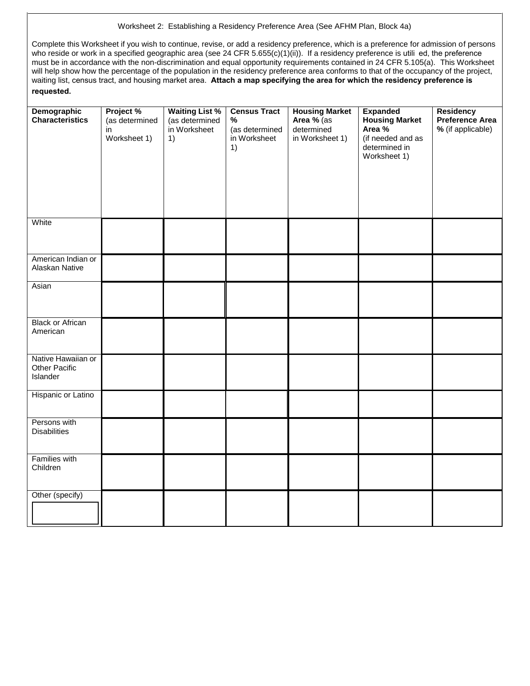## Worksheet 2: Establishing a Residency Preference Area (See AFHM Plan, Block 4a)

Complete this Worksheet if you wish to continue, revise, or add a residency preference, which is a preference for admission of persons who reside or work in a specified geographic area (see 24 CFR 5.655(c)(1)(ii)). If a residency preference is utili ed, the preference must be in accordance with the non-discrimination and equal opportunity requirements contained in 24 CFR 5.105(a). This Worksheet will help show how the percentage of the population in the residency preference area conforms to that of the occupancy of the project, waiting list, census tract, and housing market area. **Attach a map specifying the area for which the residency preference is requested.**

| Demographic<br><b>Characteristics</b>           | Project %<br>(as determined<br>in<br>Worksheet 1) | <b>Waiting List %</b><br>(as determined<br>in Worksheet<br>1) | <b>Census Tract</b><br>$\%$<br>(as determined<br>in Worksheet<br>1) | <b>Housing Market</b><br>Area % (as<br>determined<br>in Worksheet 1) | <b>Expanded</b><br><b>Housing Market</b><br>Area %<br>(if needed and as<br>determined in<br>Worksheet 1) | <b>Residency</b><br>Preference Area<br>% (if applicable) |
|-------------------------------------------------|---------------------------------------------------|---------------------------------------------------------------|---------------------------------------------------------------------|----------------------------------------------------------------------|----------------------------------------------------------------------------------------------------------|----------------------------------------------------------|
| White                                           |                                                   |                                                               |                                                                     |                                                                      |                                                                                                          |                                                          |
| American Indian or<br>Alaskan Native            |                                                   |                                                               |                                                                     |                                                                      |                                                                                                          |                                                          |
| Asian                                           |                                                   |                                                               |                                                                     |                                                                      |                                                                                                          |                                                          |
| <b>Black or African</b><br>American             |                                                   |                                                               |                                                                     |                                                                      |                                                                                                          |                                                          |
| Native Hawaiian or<br>Other Pacific<br>Islander |                                                   |                                                               |                                                                     |                                                                      |                                                                                                          |                                                          |
| Hispanic or Latino                              |                                                   |                                                               |                                                                     |                                                                      |                                                                                                          |                                                          |
| Persons with<br><b>Disabilities</b>             |                                                   |                                                               |                                                                     |                                                                      |                                                                                                          |                                                          |
| <b>Families with</b><br>Children                |                                                   |                                                               |                                                                     |                                                                      |                                                                                                          |                                                          |
| Other (specify)                                 |                                                   |                                                               |                                                                     |                                                                      |                                                                                                          |                                                          |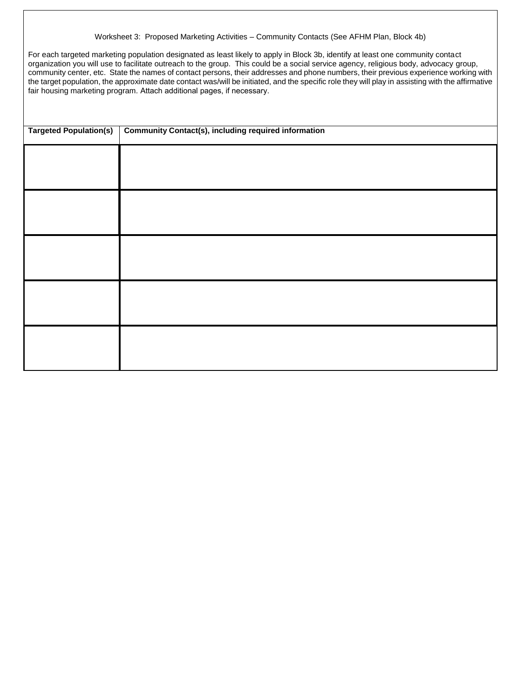#### Worksheet 3: Proposed Marketing Activities – Community Contacts (See AFHM Plan, Block 4b)

For each targeted marketing population designated as least likely to apply in Block 3b, identify at least one community contact organization you will use to facilitate outreach to the group. This could be a social service agency, religious body, advocacy group, community center, etc. State the names of contact persons, their addresses and phone numbers, their previous experience working with the target population, the approximate date contact was/will be initiated, and the specific role they will play in assisting with the affirmative fair housing marketing program. Attach additional pages, if necessary.

| <b>Targeted Population(s)</b> | <b>Community Contact(s), including required information</b> |
|-------------------------------|-------------------------------------------------------------|
|                               |                                                             |
|                               |                                                             |
|                               |                                                             |
|                               |                                                             |
|                               |                                                             |
|                               |                                                             |
|                               |                                                             |
|                               |                                                             |
|                               |                                                             |
|                               |                                                             |